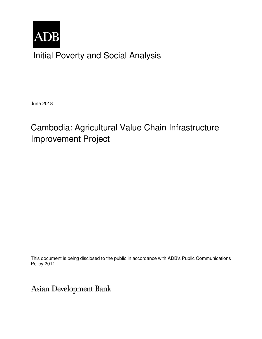

June 2018

# Cambodia: Agricultural Value Chain Infrastructure Improvement Project

This document is being disclosed to the public in accordance with ADB's Public Communications Policy 2011.

**Asian Development Bank**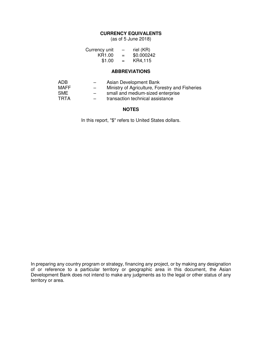### **CURRENCY EQUIVALENTS**

(as of 5 June 2018)

| Currency unit | $\overline{\phantom{m}}$ | riel (KR)  |
|---------------|--------------------------|------------|
| KR1.00        | $=$                      | \$0.000242 |
| \$1.00        | $=$                      | KR4,115    |

#### **ABBREVIATIONS**

| ADB         | $-$ | Asian Development Bank                          |
|-------------|-----|-------------------------------------------------|
| <b>MAFF</b> | $-$ | Ministry of Agriculture, Forestry and Fisheries |
| <b>SME</b>  | $-$ | small and medium-sized enterprise               |
| TRTA        | $-$ | transaction technical assistance                |

#### **NOTES**

In this report, "\$" refers to United States dollars.

In preparing any country program or strategy, financing any project, or by making any designation of or reference to a particular territory or geographic area in this document, the Asian Development Bank does not intend to make any judgments as to the legal or other status of any territory or area.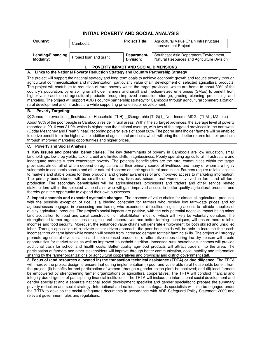## **INITIAL POVERTY AND SOCIAL ANALYSIS**

| Country:                                                                                                                                                                                                                                                                                                                                                                                                                                                                                                                                                                                                                                                                                                                                                                                                                                                                                                                                                                                                                                                                                                                                                                                                 | Cambodia                                                    | <b>Project Title:</b>                | Agricultural Value Chain Infrastructure<br>Improvement Project                                                                                                                                                                                                                                                                                                                                                                                                                                                                                                                                                                                                                                                                                                                                                                                                                                                                                                                                                                                                                                                                                                                                                                                                                                                                                                                                                                                                                                                                                                                                                                                                                                                                                                                                                                                                                                                                                                                                                                                                                                                                                                                                                                                                                                                                                                                                                                                                                                                                                                                                                                                                                                                                                                                                        |  |  |
|----------------------------------------------------------------------------------------------------------------------------------------------------------------------------------------------------------------------------------------------------------------------------------------------------------------------------------------------------------------------------------------------------------------------------------------------------------------------------------------------------------------------------------------------------------------------------------------------------------------------------------------------------------------------------------------------------------------------------------------------------------------------------------------------------------------------------------------------------------------------------------------------------------------------------------------------------------------------------------------------------------------------------------------------------------------------------------------------------------------------------------------------------------------------------------------------------------|-------------------------------------------------------------|--------------------------------------|-------------------------------------------------------------------------------------------------------------------------------------------------------------------------------------------------------------------------------------------------------------------------------------------------------------------------------------------------------------------------------------------------------------------------------------------------------------------------------------------------------------------------------------------------------------------------------------------------------------------------------------------------------------------------------------------------------------------------------------------------------------------------------------------------------------------------------------------------------------------------------------------------------------------------------------------------------------------------------------------------------------------------------------------------------------------------------------------------------------------------------------------------------------------------------------------------------------------------------------------------------------------------------------------------------------------------------------------------------------------------------------------------------------------------------------------------------------------------------------------------------------------------------------------------------------------------------------------------------------------------------------------------------------------------------------------------------------------------------------------------------------------------------------------------------------------------------------------------------------------------------------------------------------------------------------------------------------------------------------------------------------------------------------------------------------------------------------------------------------------------------------------------------------------------------------------------------------------------------------------------------------------------------------------------------------------------------------------------------------------------------------------------------------------------------------------------------------------------------------------------------------------------------------------------------------------------------------------------------------------------------------------------------------------------------------------------------------------------------------------------------------------------------------------------------|--|--|
| Lending/Financing<br><b>Modality:</b>                                                                                                                                                                                                                                                                                                                                                                                                                                                                                                                                                                                                                                                                                                                                                                                                                                                                                                                                                                                                                                                                                                                                                                    | Project loan and grant                                      | Department/<br>Division:             | Southeast Asia Department/Environment,<br>Natural Resources and Agriculture Division                                                                                                                                                                                                                                                                                                                                                                                                                                                                                                                                                                                                                                                                                                                                                                                                                                                                                                                                                                                                                                                                                                                                                                                                                                                                                                                                                                                                                                                                                                                                                                                                                                                                                                                                                                                                                                                                                                                                                                                                                                                                                                                                                                                                                                                                                                                                                                                                                                                                                                                                                                                                                                                                                                                  |  |  |
|                                                                                                                                                                                                                                                                                                                                                                                                                                                                                                                                                                                                                                                                                                                                                                                                                                                                                                                                                                                                                                                                                                                                                                                                          |                                                             | POVERTY IMPACT AND SOCIAL DIMENSIONS |                                                                                                                                                                                                                                                                                                                                                                                                                                                                                                                                                                                                                                                                                                                                                                                                                                                                                                                                                                                                                                                                                                                                                                                                                                                                                                                                                                                                                                                                                                                                                                                                                                                                                                                                                                                                                                                                                                                                                                                                                                                                                                                                                                                                                                                                                                                                                                                                                                                                                                                                                                                                                                                                                                                                                                                                       |  |  |
| А.                                                                                                                                                                                                                                                                                                                                                                                                                                                                                                                                                                                                                                                                                                                                                                                                                                                                                                                                                                                                                                                                                                                                                                                                       |                                                             |                                      |                                                                                                                                                                                                                                                                                                                                                                                                                                                                                                                                                                                                                                                                                                                                                                                                                                                                                                                                                                                                                                                                                                                                                                                                                                                                                                                                                                                                                                                                                                                                                                                                                                                                                                                                                                                                                                                                                                                                                                                                                                                                                                                                                                                                                                                                                                                                                                                                                                                                                                                                                                                                                                                                                                                                                                                                       |  |  |
| Links to the National Poverty Reduction Strategy and Country Partnership Strategy<br>The project will support the national strategy and long-term goals to achieve economic growth and reduce poverty through<br>agricultural commercialization and modernization, particularly value chain development of selected agricultural products.<br>The project will contribute to reduction of rural poverty within the target provinces, which are home to about 30% of the<br>country's population, by enabling smallholder farmers and small and medium-sized enterprises (SMEs) to benefit from<br>higher value addition of agricultural products through improved production, storage, grading, cleaning, processing, and<br>marketing. The project will support ADB's country partnership strategy for Cambodia through agricultural commercialization,<br>rural development and infrastructure while supporting private sector development.                                                                                                                                                                                                                                                            |                                                             |                                      |                                                                                                                                                                                                                                                                                                                                                                                                                                                                                                                                                                                                                                                                                                                                                                                                                                                                                                                                                                                                                                                                                                                                                                                                                                                                                                                                                                                                                                                                                                                                                                                                                                                                                                                                                                                                                                                                                                                                                                                                                                                                                                                                                                                                                                                                                                                                                                                                                                                                                                                                                                                                                                                                                                                                                                                                       |  |  |
| <b>Poverty Targeting:</b><br>В.                                                                                                                                                                                                                                                                                                                                                                                                                                                                                                                                                                                                                                                                                                                                                                                                                                                                                                                                                                                                                                                                                                                                                                          |                                                             |                                      |                                                                                                                                                                                                                                                                                                                                                                                                                                                                                                                                                                                                                                                                                                                                                                                                                                                                                                                                                                                                                                                                                                                                                                                                                                                                                                                                                                                                                                                                                                                                                                                                                                                                                                                                                                                                                                                                                                                                                                                                                                                                                                                                                                                                                                                                                                                                                                                                                                                                                                                                                                                                                                                                                                                                                                                                       |  |  |
|                                                                                                                                                                                                                                                                                                                                                                                                                                                                                                                                                                                                                                                                                                                                                                                                                                                                                                                                                                                                                                                                                                                                                                                                          | through improved marketing opportunities and higher prices. |                                      | ⊠General Intervention Individual or Household (TI-H) I Geographic (TI-G) I Non-Income MDGs (TI-M1, M2, etc.)<br>About 90% of the poor people in Cambodia reside in rural areas. Within the six target provinces, the average level of poverty<br>recorded in 2016 was 21.9% which is higher than the national average, with two of the targeted provinces in the northwest<br>(Oddar Meanchey and Preah Vihear) recording poverty levels of about 28%. The poorer smallholder farmers will be enabled<br>to derive benefit from the higher value addition of agricultural products, which will bring them better returns for their products                                                                                                                                                                                                                                                                                                                                                                                                                                                                                                                                                                                                                                                                                                                                                                                                                                                                                                                                                                                                                                                                                                                                                                                                                                                                                                                                                                                                                                                                                                                                                                                                                                                                                                                                                                                                                                                                                                                                                                                                                                                                                                                                                           |  |  |
| <b>Poverty and Social Analysis</b><br>С.                                                                                                                                                                                                                                                                                                                                                                                                                                                                                                                                                                                                                                                                                                                                                                                                                                                                                                                                                                                                                                                                                                                                                                 |                                                             |                                      |                                                                                                                                                                                                                                                                                                                                                                                                                                                                                                                                                                                                                                                                                                                                                                                                                                                                                                                                                                                                                                                                                                                                                                                                                                                                                                                                                                                                                                                                                                                                                                                                                                                                                                                                                                                                                                                                                                                                                                                                                                                                                                                                                                                                                                                                                                                                                                                                                                                                                                                                                                                                                                                                                                                                                                                                       |  |  |
| 1. Key issues and potential beneficiaries. The key determinants of poverty in Cambodia are low education, small<br>landholdings, low crop yields, lack of credit and limited skills in agribusiness. Poorly operating agricultural infrastructure and<br>inadequate markets further exacerbate poverty. The potential beneficiaries are the rural communities within the target<br>provinces, almost all of whom depend on agriculture as their primary source of livelihood and many of whom are highly<br>vulnerable to economic shocks and other natural disasters on their agricultural production. Farmers require reliable access<br>to markets and stable prices for their products, and greater awareness of and improved access to marketing information.<br>The primary beneficiaries will be smallholder farmers, livestock raisers, rural women involved in farm and off-farm<br>production. The secondary beneficiaries will be agribusinesses, processors and traders and other service related<br>stakeholders within the selected value chains who will gain improved access to better quality agricultural products and<br>thereby gain the opportunity to expand their own businesses. |                                                             |                                      |                                                                                                                                                                                                                                                                                                                                                                                                                                                                                                                                                                                                                                                                                                                                                                                                                                                                                                                                                                                                                                                                                                                                                                                                                                                                                                                                                                                                                                                                                                                                                                                                                                                                                                                                                                                                                                                                                                                                                                                                                                                                                                                                                                                                                                                                                                                                                                                                                                                                                                                                                                                                                                                                                                                                                                                                       |  |  |
| relevant government rules and regulations.                                                                                                                                                                                                                                                                                                                                                                                                                                                                                                                                                                                                                                                                                                                                                                                                                                                                                                                                                                                                                                                                                                                                                               |                                                             |                                      | 2. Impact channels and expected systemic changes. The absence of value chains for almost all agricultural products,<br>with the possible exception of rice, is a binding constraint for farmers who receive low farm-gate prices and for<br>agribusinesses engaged in processing and trading who experience difficulties in gaining access to reliable supplies of<br>quality agricultural products. The project's social impacts are positive, with the only potential negative impact being minor<br>land acquisition for road and canal construction or rehabilitation, most of which will likely be voluntary donation. The<br>strengthened farmer organizations or agricultural cooperatives and better farming techniques, will ensure more reliable<br>incomes and food security. Moreover, the enhanced value chains will generate employment for both skilled and unskilled<br>labor. Through application of a private sector driven approach, the poor households will be able to increase their cash<br>incomes through farm labor while women will benefit from increased demand for their farming skills. The project will strongly<br>promote agricultural diversification and the increased production of alternative crops during the dry season will create<br>opportunities for market sales as well as improved household nutrition. Increased rural household's incomes will provide<br>additional cash for school and health costs. Better quality agri-food products will attract traders into the area. The<br>participation of farmers and other stakeholders will improve through better communication, accountability and information<br>sharing by the farmer organizations or agricultural cooperatives and provincial and district government staff.<br>3. Focus of (and resources allocated in) the transaction technical assistance (TRTA) or due diligence. The TRTA<br>will improve the project design to ensure that during implementation (i) poor and vulnerable rural households benefit from<br>the project; (ii) benefits for and participation of women (through a gender action plan) be achieved; and (iii) local farmers<br>be empowered by strengthening farmer organizations or agricultural cooperatives. The TRTA will conduct financial and<br>integrity due diligence of participating financial institutions. The TRTA will include an international social development and<br>gender specialist and a separate national social development specialist and gender specialist to prepare the summary<br>poverty reduction and social strategy. International and national social safeguards specialists will also be engaged under<br>the TRTA to develop the social safeguards documents in accordance with ADB Safeguard Policy Statement 2009 and |  |  |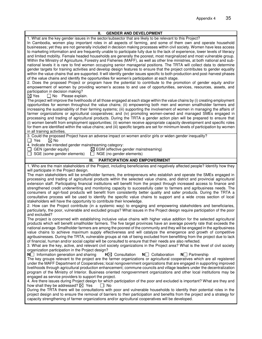| <b>GENDER AND DEVELOPMENT</b><br>Ш.                                                                                                                                                                                                                                                                                                                                                                                                                                                                                                                                                                                                                                                                                                                                                                                                                                                                                                                                                                                                                                                                                                                                                                                                                                                                                                                                                                                                                                                                                                                                                                                                                                                                                                                                                                                                                                                                                                                                                                                                                                                                                                                                                                                                                                                                                                                                                                                                                                                                                                                                                                                                                                                                                                                                                                                                                                                                                                                                                                                                           |
|-----------------------------------------------------------------------------------------------------------------------------------------------------------------------------------------------------------------------------------------------------------------------------------------------------------------------------------------------------------------------------------------------------------------------------------------------------------------------------------------------------------------------------------------------------------------------------------------------------------------------------------------------------------------------------------------------------------------------------------------------------------------------------------------------------------------------------------------------------------------------------------------------------------------------------------------------------------------------------------------------------------------------------------------------------------------------------------------------------------------------------------------------------------------------------------------------------------------------------------------------------------------------------------------------------------------------------------------------------------------------------------------------------------------------------------------------------------------------------------------------------------------------------------------------------------------------------------------------------------------------------------------------------------------------------------------------------------------------------------------------------------------------------------------------------------------------------------------------------------------------------------------------------------------------------------------------------------------------------------------------------------------------------------------------------------------------------------------------------------------------------------------------------------------------------------------------------------------------------------------------------------------------------------------------------------------------------------------------------------------------------------------------------------------------------------------------------------------------------------------------------------------------------------------------------------------------------------------------------------------------------------------------------------------------------------------------------------------------------------------------------------------------------------------------------------------------------------------------------------------------------------------------------------------------------------------------------------------------------------------------------------------------------------------------|
| 1. What are the key gender issues in the sector/subsector that are likely to be relevant to this Project?<br>In Cambodia, women play important roles in all aspects of farming, and some of them own and operate household<br>businesses; yet they are not generally included in decision making processes within civil society. Women have less access<br>to marketing information and are frequently unable to participate fully due to the lack of experience, lower levels of literacy<br>and limited mobility. Female headed households are generally the poorest, most marginalized and most vulnerable group.<br>Within the Ministry of Agriculture, Forestry and Fisheries (MAFF), as well as other line ministries, at both national and sub-<br>national levels it is rare to find women occupying senior managerial positions. The TRTA will collect data to determine<br>gender targets for training activities and develop design features to ensure that the project contributes to gender equality<br>within the value chains that are supported. It will identify gender issues specific to both production and post-harvest phases<br>of the value chains and identify the opportunities for women's participation at each stage.<br>2. Does the proposed Project or program have the potential to contribute to the promotion of gender equity and/or<br>empowerment of women by providing women's access to and use of opportunities, services, resources, assets, and<br>participation in decision making?<br>$\Box$ No Please explain.<br>$\boxtimes$ Yes<br>The project will improve the livelihoods of all those engaged at each stage within the value chains by (i) creating employment                                                                                                                                                                                                                                                                                                                                                                                                                                                                                                                                                                                                                                                                                                                                                                                                                                                                                                                                                                                                                                                                                                                                                                                                                                                                                                                              |
| opportunities for women throughout the value chains; (ii) empowering both men and women smallholder farmers and<br>increasing the sustainability of their farming systems; (iii) supporting the involvement of women in managing the affairs of<br>farmer organizations or agricultural cooperatives; and (iv) promoting women-owned and managed SMEs engaged in<br>processing and trading of agricultural products. During the TRTA a gender action plan will be prepared to ensure that<br>(i) women benefit from employment opportunities; (ii) women receive appropriate capacity development and specific roles<br>for them are identified within the value chains; and (iii) specific targets are set for minimum levels of participation by women<br>in all training activities.<br>3. Could the proposed Project have an adverse impact on women and/or girls or widen gender inequality?                                                                                                                                                                                                                                                                                                                                                                                                                                                                                                                                                                                                                                                                                                                                                                                                                                                                                                                                                                                                                                                                                                                                                                                                                                                                                                                                                                                                                                                                                                                                                                                                                                                                                                                                                                                                                                                                                                                                                                                                                                                                                                                                             |
| $\boxtimes$ No<br>$\Box$ Yes<br>4. Indicate the intended gender mainstreaming category:<br>$\Box$ GEN (gender equity)<br>$\boxtimes$ EGM (effective gender mainstreaming)<br>SGE (some gender elements)<br>$\Box$ NGE (no gender elements)<br>$\Box$                                                                                                                                                                                                                                                                                                                                                                                                                                                                                                                                                                                                                                                                                                                                                                                                                                                                                                                                                                                                                                                                                                                                                                                                                                                                                                                                                                                                                                                                                                                                                                                                                                                                                                                                                                                                                                                                                                                                                                                                                                                                                                                                                                                                                                                                                                                                                                                                                                                                                                                                                                                                                                                                                                                                                                                          |
| PARTICIPATION AND EMPOWERMENT<br>III.                                                                                                                                                                                                                                                                                                                                                                                                                                                                                                                                                                                                                                                                                                                                                                                                                                                                                                                                                                                                                                                                                                                                                                                                                                                                                                                                                                                                                                                                                                                                                                                                                                                                                                                                                                                                                                                                                                                                                                                                                                                                                                                                                                                                                                                                                                                                                                                                                                                                                                                                                                                                                                                                                                                                                                                                                                                                                                                                                                                                         |
| 1. Who are the main stakeholders of the Project, including beneficiaries and negatively affected people? Identify how they<br>will participate in the Project design.<br>The main stakeholders will be smallholder farmers, the entrepreneurs who establish and operate the SMEs engaged in<br>processing and trading of agricultural products within the selected value chains, and district and provincial agricultural<br>extension staff. Participating financial institutions will benefit from the project through increased access to finance and<br>strengthened credit underwriting and monitoring capacity to successfully cater to farmers and agribusiness needs. The<br>consumers of agri-food products will benefit from consistently better quality and safer products. During the TRTA a<br>consultative process will be used to identify the specific value chains to support and a wide cross section of local<br>stakeholders will have the opportunity to contribute their knowledge.<br>2. How can the Project contribute (in a systemic way) to engaging and empowering stakeholders and beneficiaries,<br>particularly, the poor, vulnerable and excluded groups? What issues in the Project design require participation of the poor<br>and excluded?<br>The project is concerned with establishing inclusive value chains with higher value addition for the selected agricultural<br>products which will benefit smallholder farmers. The five target provinces have an average poverty rate that exceeds the<br>national average. Smallholder farmers are among the poorest of the community and they will be engaged in the agribusiness<br>value chains to achieve maximum supply effectiveness and will catalyze the emergence and growth of competitive<br>agribusinesses. During the TRTA, vulnerable groups at risk of being excluded from benefitting from the project due to lack<br>of financial, human and/or social capital will be consulted to ensure that their needs are also reflected.<br>3. What are the key, active, and relevant civil society organizations in the Project area? What is the level of civil society<br>organization participation in the Project design?<br>$H\boxtimes$ Consultation<br>$N$ Collaboration<br>$N$ Information generation and sharing<br>$N \Box$ Partnership<br>The key groups relevant to the project are the farmer organizations or agricultural cooperatives which are all registered<br>under the MAFF Department of Cooperatives; local nongovernment organizations that are engaged in supporting improved<br>livelihoods through agricultural production enhancement; commune councils and village leaders under the decentralization<br>program of the Ministry of Interior. Business oriented nongovernment organizations and other local institutions may be<br>engaged as service providers to support the project.<br>4. Are there issues during Project design for which participation of the poor and excluded is important? What are they and |
| how shall they be addressed? $\boxtimes$ Yes<br>l I No<br>During the TRTA there will be consultations with poor and vulnerable households to identify their potential roles in the<br>project design and to ensure the removal of barriers to their participation and benefits from the project and a strategy for<br>capacity strengthening of farmer organizations and/or agricultural cooperatives will be developed.                                                                                                                                                                                                                                                                                                                                                                                                                                                                                                                                                                                                                                                                                                                                                                                                                                                                                                                                                                                                                                                                                                                                                                                                                                                                                                                                                                                                                                                                                                                                                                                                                                                                                                                                                                                                                                                                                                                                                                                                                                                                                                                                                                                                                                                                                                                                                                                                                                                                                                                                                                                                                      |